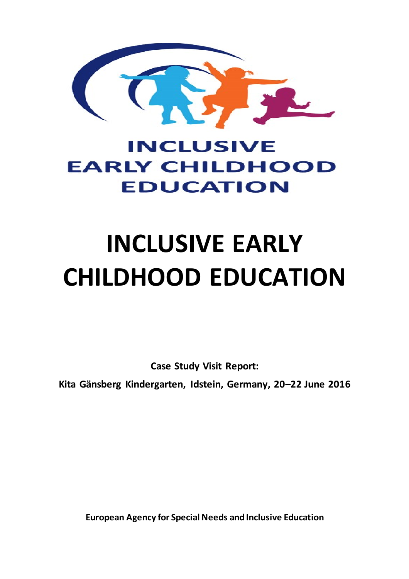

## **INCLUSIVE EARLY CHILDHOOD EDUCATION**

# **INCLUSIVE EARLY CHILDHOOD EDUCATION**

**Case Study Visit Report:**

**Kita Gänsberg Kindergarten, Idstein, Germany, 20–22 June 2016**

**European Agency for Special Needs and Inclusive Education**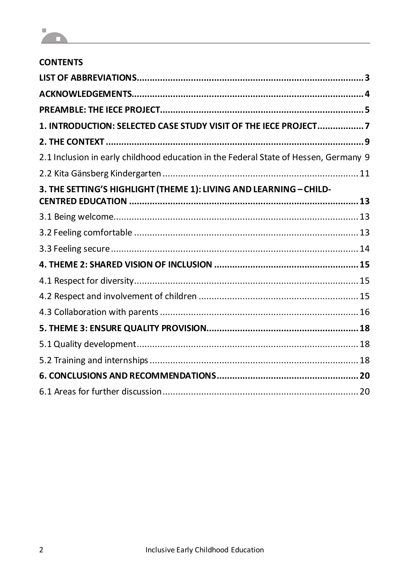

| <b>CONTENTS</b>                                                                      |
|--------------------------------------------------------------------------------------|
|                                                                                      |
|                                                                                      |
|                                                                                      |
| 1. INTRODUCTION: SELECTED CASE STUDY VISIT OF THE IECE PROJECT7                      |
|                                                                                      |
| 2.1 Inclusion in early childhood education in the Federal State of Hessen, Germany 9 |
|                                                                                      |
| 3. THE SETTING'S HIGHLIGHT (THEME 1): LIVING AND LEARNING - CHILD-                   |
|                                                                                      |
|                                                                                      |
|                                                                                      |
|                                                                                      |
|                                                                                      |
|                                                                                      |
|                                                                                      |
|                                                                                      |
|                                                                                      |
|                                                                                      |
|                                                                                      |
|                                                                                      |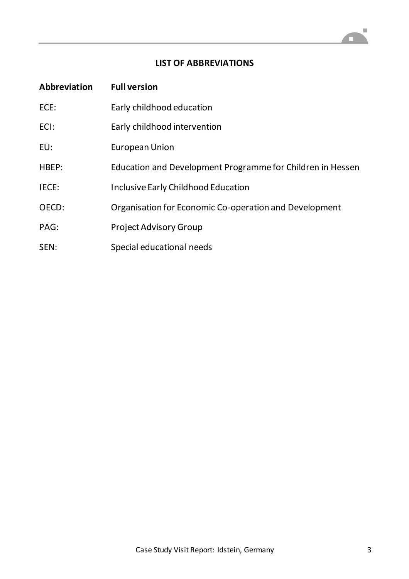### **LIST OF ABBREVIATIONS**

| Abbreviation | <b>Full version</b>                                        |
|--------------|------------------------------------------------------------|
| ECE:         | Early childhood education                                  |
| ECI:         | Early childhood intervention                               |
| EU:          | European Union                                             |
| HBEP:        | Education and Development Programme for Children in Hessen |
| IECE:        | <b>Inclusive Early Childhood Education</b>                 |
| OECD:        | Organisation for Economic Co-operation and Development     |
| PAG:         | <b>Project Advisory Group</b>                              |
| SEN:         | Special educational needs                                  |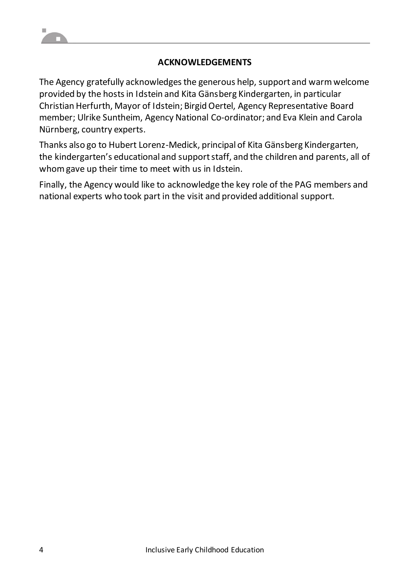### **ACKNOWLEDGEMENTS**

The Agency gratefully acknowledges the generous help, support and warm welcome provided by the hosts in Idstein and Kita Gänsberg Kindergarten, in particular Christian Herfurth, Mayor of Idstein; Birgid Oertel, Agency Representative Board member; Ulrike Suntheim, Agency National Co-ordinator; and Eva Klein and Carola Nürnberg, country experts.

Thanks also go to Hubert Lorenz-Medick, principal of Kita Gänsberg Kindergarten, the kindergarten's educational and support staff, and the children and parents, all of whom gave up their time to meet with us in Idstein.

Finally, the Agency would like to acknowledge the key role of the PAG members and national experts who took part in the visit and provided additional support.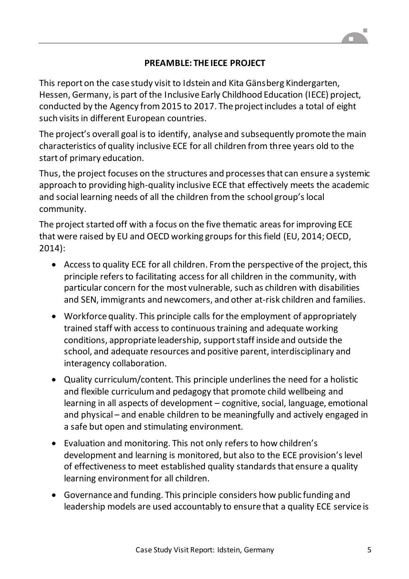### **PREAMBLE: THE IECE PROJECT**

This report on the case study visit to Idstein and Kita Gänsberg Kindergarten, Hessen, Germany, is part of the Inclusive Early Childhood Education (IECE) project, conducted by the Agency from 2015 to 2017. The project includes a total of eight such visits in different European countries.

The project's overall goal is to identify, analyse and subsequently promote the main characteristics of quality inclusive ECE for all children from three years old to the start of primary education.

Thus, the project focuses on the structures and processes that can ensure a systemic approach to providing high-quality inclusive ECE that effectively meets the academic and social learning needs of all the children from the school group's local community.

The project started off with a focus on the five thematic areas for improving ECE that were raised by EU and OECD working groups for this field (EU, 2014; OECD, 2014):

- Access to quality ECE for all children. From the perspective of the project, this principle refers to facilitating access for all children in the community, with particular concern for the most vulnerable, such as children with disabilities and SEN, immigrants and newcomers, and other at-risk children and families.
- Workforce quality. This principle calls for the employment of appropriately trained staff with access to continuous training and adequate working conditions, appropriate leadership, support staff inside and outside the school, and adequate resources and positive parent, interdisciplinary and interagency collaboration.
- Quality curriculum/content. This principle underlines the need for a holistic and flexible curriculum and pedagogy that promote child wellbeing and learning in all aspects of development – cognitive, social, language, emotional and physical – and enable children to be meaningfully and actively engaged in a safe but open and stimulating environment.
- Evaluation and monitoring. This not only refers to how children's development and learning is monitored, but also to the ECE provision's level of effectiveness to meet established quality standards that ensure a quality learning environment for all children.
- Governance and funding. This principle considers how public funding and leadership models are used accountably to ensure that a quality ECE service is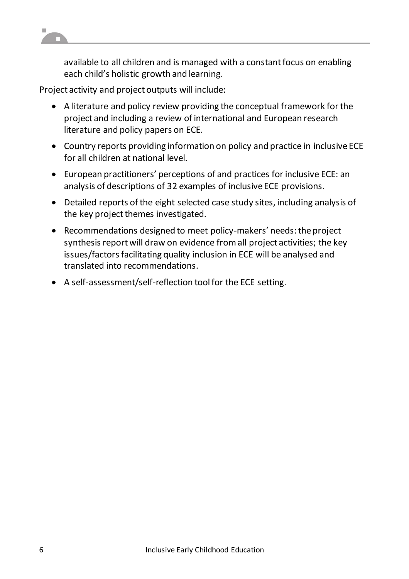

available to all children and is managed with a constant focus on enabling each child's holistic growth and learning.

Project activity and project outputs will include:

- A literature and policy review providing the conceptual framework for the project and including a review of international and European research literature and policy papers on ECE.
- Country reports providing information on policy and practice in inclusive ECE for all children at national level.
- European practitioners' perceptions of and practices for inclusive ECE: an analysis of descriptions of 32 examples of inclusive ECE provisions.
- Detailed reports of the eight selected case study sites, including analysis of the key project themes investigated.
- Recommendations designed to meet policy-makers' needs: the project synthesis report will draw on evidence from all project activities; the key issues/factors facilitating quality inclusion in ECE will be analysed and translated into recommendations.
- A self-assessment/self-reflection tool for the ECE setting.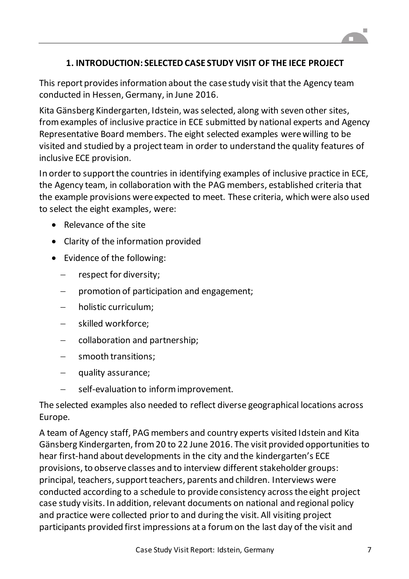### **1. INTRODUCTION: SELECTED CASE STUDY VISIT OF THE IECE PROJECT**

This report provides information about the case study visit that the Agency team conducted in Hessen, Germany, in June 2016.

Kita Gänsberg Kindergarten, Idstein, was selected, along with seven other sites, from examples of inclusive practice in ECE submitted by national experts and Agency Representative Board members. The eight selected examples were willing to be visited and studied by a project team in order to understand the quality features of inclusive ECE provision.

In order to support the countries in identifying examples of inclusive practice in ECE, the Agency team, in collaboration with the PAG members, established criteria that the example provisions were expected to meet. These criteria, which were also used to select the eight examples, were:

- Relevance of the site
- Clarity of the information provided
- Evidence of the following:
	- respect for diversity;
	- $\mathsf{p}$  promotion of participation and engagement;
	- holistic curriculum;
	- skilled workforce;
	- collaboration and partnership;
	- smooth transitions;
	- quality assurance;
	- $-$  self-evaluation to inform improvement.

The selected examples also needed to reflect diverse geographical locations across Europe.

A team of Agency staff, PAG members and country experts visited Idstein and Kita Gänsberg Kindergarten, from 20 to 22 June 2016. The visit provided opportunities to hear first-hand about developments in the city and the kindergarten's ECE provisions, to observe classes and to interview different stakeholder groups: principal, teachers, support teachers, parents and children. Interviews were conducted according to a schedule to provide consistency across the eight project case study visits. In addition, relevant documents on national and regional policy and practice were collected prior to and during the visit. All visiting project participants provided first impressions at a forum on the last day of the visit and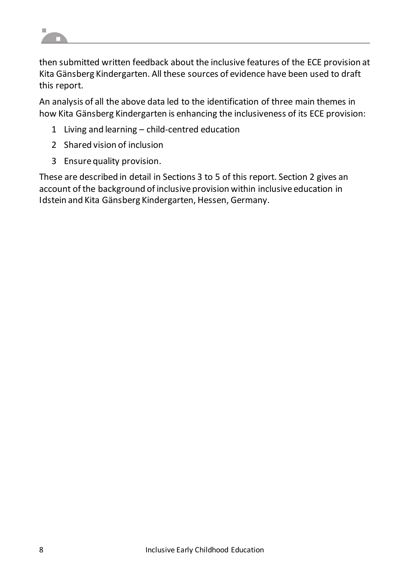

then submitted written feedback about the inclusive features of the ECE provision at Kita Gänsberg Kindergarten. All these sources of evidence have been used to draft this report.

An analysis of all the above data led to the identification of three main themes in how Kita Gänsberg Kindergarten is enhancing the inclusiveness of its ECE provision:

- 1 Living and learning child-centred education
- 2 Shared vision of inclusion
- 3 Ensure quality provision.

These are described in detail in Sections 3 to 5 of this report. Section 2 gives an account of the background of inclusive provision within inclusive education in Idstein and Kita Gänsberg Kindergarten, Hessen, Germany.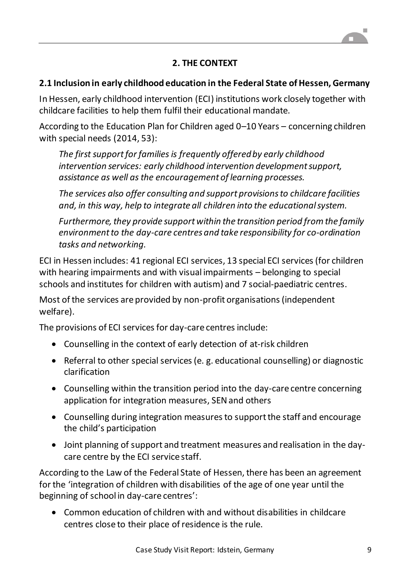### **2. THE CONTEXT**

### **2.1 Inclusion in early childhood education in the Federal State of Hessen, Germany**

In Hessen, early childhood intervention (ECI) institutions work closely together with childcare facilities to help them fulfil their educational mandate.

According to the Education Plan for Children aged 0–10 Years – concerning children with special needs (2014, 53):

*The first support for families is frequently offered by early childhood intervention services: early childhood intervention development support, assistance as well as the encouragement of learning processes.*

*The services also offer consulting and support provisions to childcare facilities and, in this way, help to integrate all children into the educational system.*

*Furthermore, they provide support within the transition period from the family environment to the day-care centres and take responsibility for co-ordination tasks and networking.*

ECI in Hessen includes: 41 regional ECI services, 13 special ECI services (for children with hearing impairments and with visual impairments – belonging to special schools and institutes for children with autism) and 7 social-paediatric centres.

Most of the services are provided by non-profit organisations (independent welfare).

The provisions of ECI services for day-care centres include:

- Counselling in the context of early detection of at-risk children
- Referral to other special services (e. g. educational counselling) or diagnostic clarification
- Counselling within the transition period into the day-care centre concerning application for integration measures, SEN and others
- Counselling during integration measures to support the staff and encourage the child's participation
- Joint planning of support and treatment measures and realisation in the daycare centre by the ECI service staff.

According to the Law of the Federal State of Hessen, there has been an agreement for the 'integration of children with disabilities of the age of one year until the beginning of school in day-care centres':

 Common education of children with and without disabilities in childcare centres close to their place of residence is the rule.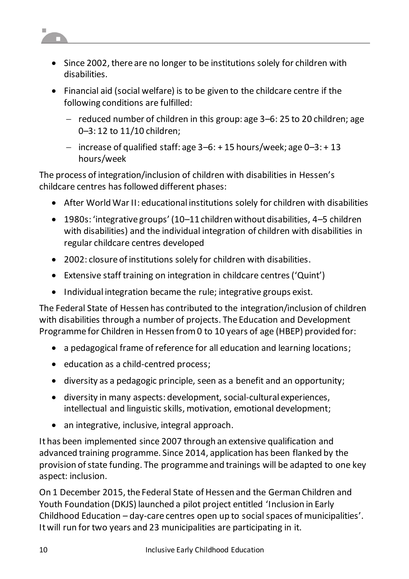

- Since 2002, there are no longer to be institutions solely for children with disabilities.
- Financial aid (social welfare) is to be given to the childcare centre if the following conditions are fulfilled:
	- reduced number of children in this group: age  $3-6:$  25 to 20 children; age 0–3: 12 to 11/10 children;
	- increase of qualified staff: age  $3-6: + 15$  hours/week; age  $0-3: + 13$ hours/week

The process of integration/inclusion of children with disabilities in Hessen's childcare centres has followed different phases:

- After World War II: educational institutions solely for children with disabilities
- 1980s: 'integrative groups' (10–11 children without disabilities, 4–5 children with disabilities) and the individual integration of children with disabilities in regular childcare centres developed
- 2002: closure of institutions solely for children with disabilities.
- Extensive staff training on integration in childcare centres ('Quint')
- Individual integration became the rule; integrative groups exist.

The Federal State of Hessen has contributed to the integration/inclusion of children with disabilities through a number of projects. The Education and Development Programme for Children in Hessen from 0 to 10 years of age (HBEP) provided for:

- a pedagogical frame of reference for all education and learning locations;
- education as a child-centred process;
- diversity as a pedagogic principle, seen as a benefit and an opportunity;
- diversity in many aspects: development, social-cultural experiences, intellectual and linguistic skills, motivation, emotional development;
- an integrative, inclusive, integral approach.

It has been implemented since 2007 through an extensive qualification and advanced training programme. Since 2014, application has been flanked by the provision of state funding. The programme and trainings will be adapted to one key aspect: inclusion.

On 1 December 2015, the Federal State of Hessen and the German Children and Youth Foundation (DKJS) launched a pilot project entitled 'Inclusion in Early Childhood Education – day-care centres open up to social spaces of municipalities'. It will run for two years and 23 municipalities are participating in it.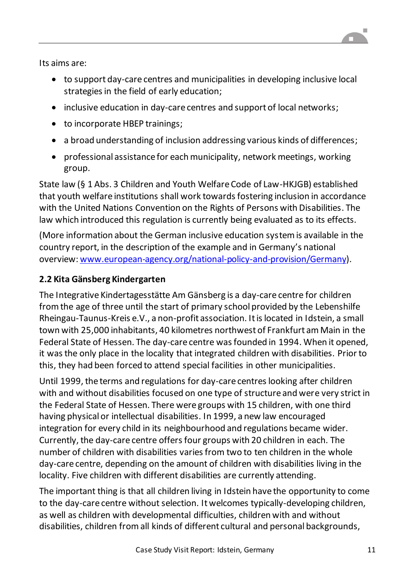Its aims are:

- to support day-care centres and municipalities in developing inclusive local strategies in the field of early education;
- inclusive education in day-care centres and support of local networks;
- to incorporate HBEP trainings;
- a broad understanding of inclusion addressing various kinds of differences;
- professional assistance for each municipality, network meetings, working group.

State law (§ 1 Abs. 3 Children and Youth Welfare Code of Law-HKJGB) established that youth welfare institutions shall work towards fostering inclusion in accordance with the United Nations Convention on the Rights of Persons with Disabilities. The law which introduced this regulation is currently being evaluated as to its effects.

(More information about the German inclusive education system is available in the country report, in the description of the example and in Germany's national overview[: www.european-agency.org/national-policy-and-provision/Germany](https://www.european-agency.org/national-policy-and-provision/Germany)).

### **2.2 Kita Gänsberg Kindergarten**

The Integrative Kindertagesstätte Am Gänsberg is a day-care centre for children from the age of three until the start of primary school provided by the Lebenshilfe Rheingau-Taunus-Kreis e.V., a non-profit association. It is located in Idstein, a small town with 25,000 inhabitants, 40 kilometres northwest of Frankfurt am Main in the Federal State of Hessen. The day-care centre was founded in 1994. When it opened, it was the only place in the locality that integrated children with disabilities. Prior to this, they had been forced to attend special facilities in other municipalities.

Until 1999, the terms and regulations for day-care centres looking after children with and without disabilities focused on one type of structure and were very strict in the Federal State of Hessen. There were groups with 15 children, with one third having physical or intellectual disabilities. In 1999, a new law encouraged integration for every child in its neighbourhood and regulations became wider. Currently, the day-care centre offers four groups with 20 children in each. The number of children with disabilities varies from two to ten children in the whole day-care centre, depending on the amount of children with disabilities living in the locality. Five children with different disabilities are currently attending.

The important thing is that all children living in Idstein have the opportunity to come to the day-care centre without selection. It welcomes typically-developing children, as well as children with developmental difficulties, children with and without disabilities, children from all kinds of different cultural and personal backgrounds,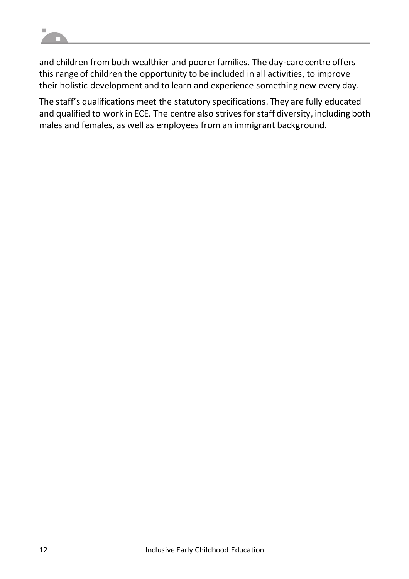

and children from both wealthier and poorer families. The day-care centre offers this range of children the opportunity to be included in all activities, to improve their holistic development and to learn and experience something new every day.

The staff's qualifications meet the statutory specifications. They are fully educated and qualified to work in ECE. The centre also strives for staff diversity, including both males and females, as well as employees from an immigrant background.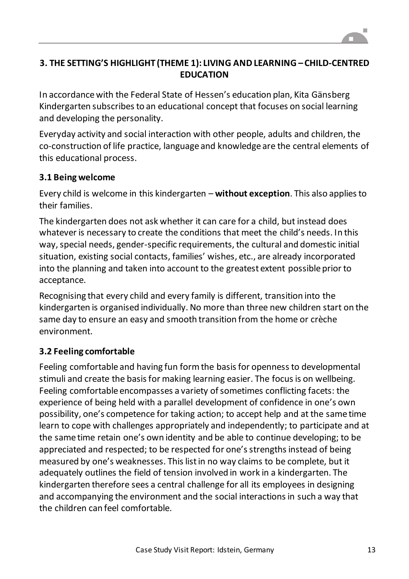

### **3. THE SETTING'S HIGHLIGHT (THEME 1): LIVING AND LEARNING – CHILD-CENTRED EDUCATION**

In accordance with the Federal State of Hessen's education plan, Kita Gänsberg Kindergarten subscribes to an educational concept that focuses on social learning and developing the personality.

Everyday activity and social interaction with other people, adults and children, the co-construction of life practice, language and knowledge are the central elements of this educational process.

### **3.1 Being welcome**

Every child is welcome in this kindergarten – **without exception**. This also applies to their families.

The kindergarten does not ask whether it can care for a child, but instead does whatever is necessary to create the conditions that meet the child's needs. In this way, special needs, gender-specific requirements, the cultural and domestic initial situation, existing social contacts, families' wishes, etc., are already incorporated into the planning and taken into account to the greatest extent possible prior to acceptance.

Recognising that every child and every family is different, transition into the kindergarten is organised individually. No more than three new children start on the same day to ensure an easy and smooth transition from the home or crèche environment.

### **3.2 Feeling comfortable**

Feeling comfortable and having fun form the basis for openness to developmental stimuli and create the basis for making learning easier. The focus is on wellbeing. Feeling comfortable encompasses a variety of sometimes conflicting facets: the experience of being held with a parallel development of confidence in one's own possibility, one's competence for taking action; to accept help and at the same time learn to cope with challenges appropriately and independently; to participate and at the same time retain one's own identity and be able to continue developing; to be appreciated and respected; to be respected for one's strengths instead of being measured by one's weaknesses. This list in no way claims to be complete, but it adequately outlines the field of tension involved in work in a kindergarten. The kindergarten therefore sees a central challenge for all its employees in designing and accompanying the environment and the social interactions in such a way that the children can feel comfortable.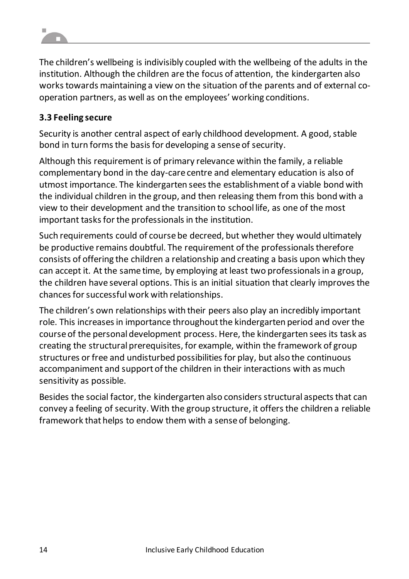The children's wellbeing is indivisibly coupled with the wellbeing of the adults in the institution. Although the children are the focus of attention, the kindergarten also works towards maintaining a view on the situation of the parents and of external cooperation partners, as well as on the employees' working conditions.

### **3.3 Feeling secure**

Security is another central aspect of early childhood development. A good, stable bond in turn forms the basis for developing a sense of security.

Although this requirement is of primary relevance within the family, a reliable complementary bond in the day-care centre and elementary education is also of utmost importance. The kindergarten seesthe establishment of a viable bond with the individual children in the group, and then releasing them from this bond with a view to their development and the transition to school life, as one of the most important tasks for the professionals in the institution.

Such requirements could of course be decreed, but whether they would ultimately be productive remains doubtful. The requirement of the professionals therefore consists of offering the children a relationship and creating a basis upon which they can accept it. At the same time, by employing at least two professionals in a group, the children have several options. This is an initial situation that clearly improves the chances for successful work with relationships.

The children's own relationships with their peers also play an incredibly important role. This increases in importance throughout the kindergarten period and over the course of the personal development process. Here, the kindergarten seesits task as creating the structural prerequisites, for example, within the framework of group structures or free and undisturbed possibilities for play, but also the continuous accompaniment and support of the children in their interactions with as much sensitivity as possible.

Besides the social factor, the kindergarten also considers structural aspects that can convey a feeling of security. With the group structure, it offersthe children a reliable framework that helps to endow them with a sense of belonging.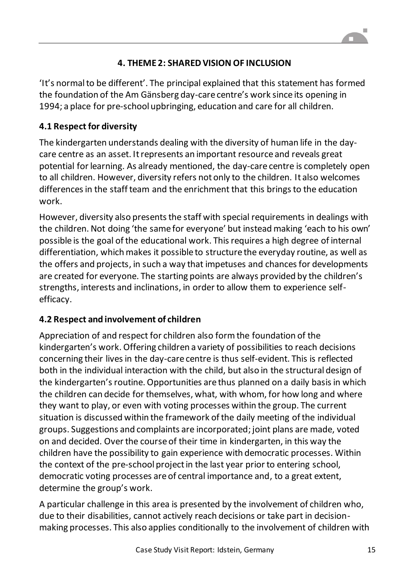### **4. THEME 2: SHARED VISION OF INCLUSION**

'It's normal to be different'. The principal explained that this statement has formed the foundation of the Am Gänsberg day-care centre's work since its opening in 1994; a place for pre-school upbringing, education and care for all children.

### **4.1 Respect for diversity**

The kindergarten understands dealing with the diversity of human life in the daycare centre as an asset. It represents an important resource and reveals great potential for learning. As already mentioned, the day-care centre is completely open to all children. However, diversity refers not only to the children. It also welcomes differences in the staff team and the enrichment that this brings to the education work.

However, diversity also presents the staff with special requirements in dealings with the children. Not doing 'the same for everyone' but instead making 'each to his own' possible is the goal of the educational work. This requires a high degree of internal differentiation, which makes it possible to structure the everyday routine, as well as the offers and projects, in such a way that impetuses and chances for developments are created for everyone. The starting points are always provided by the children's strengths, interests and inclinations, in order to allow them to experience selfefficacy.

### **4.2 Respect and involvement of children**

Appreciation of and respect for children also form the foundation of the kindergarten's work. Offering children a variety of possibilities to reach decisions concerning their lives in the day-care centre is thus self-evident. This is reflected both in the individual interaction with the child, but also in the structural design of the kindergarten's routine. Opportunities are thus planned on a daily basis in which the children can decide for themselves, what, with whom, for how long and where they want to play, or even with voting processes within the group. The current situation is discussed within the framework of the daily meeting of the individual groups. Suggestions and complaints are incorporated; joint plans are made, voted on and decided. Over the course of their time in kindergarten, in this way the children have the possibility to gain experience with democratic processes. Within the context of the pre-school project in the last year prior to entering school, democratic voting processes are of central importance and, to a great extent, determine the group's work.

A particular challenge in this area is presented by the involvement of children who, due to their disabilities, cannot actively reach decisions or take part in decisionmaking processes. This also applies conditionally to the involvement of children with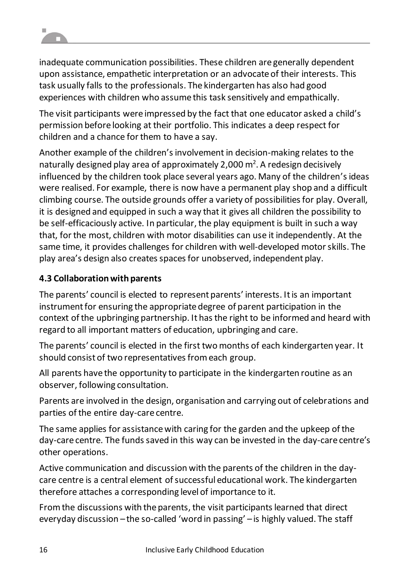

inadequate communication possibilities. These children are generally dependent upon assistance, empathetic interpretation or an advocate of their interests. This task usually falls to the professionals. The kindergarten has also had good experiences with children who assume this task sensitively and empathically.

The visit participants were impressed by the fact that one educator asked a child's permission before looking at their portfolio. This indicates a deep respect for children and a chance for them to have a say.

Another example of the children's involvement in decision-making relates to the naturally designed play area of approximately 2,000  $\text{m}^2$ . A redesign decisively influenced by the children took place several years ago. Many of the children's ideas were realised. For example, there is now have a permanent play shop and a difficult climbing course. The outside grounds offer a variety of possibilities for play. Overall, it is designed and equipped in such a way that it gives all children the possibility to be self-efficaciously active. In particular, the play equipment is built in such a way that, for the most, children with motor disabilities can use it independently. At the same time, it provides challenges for children with well-developed motor skills. The play area's design also creates spaces for unobserved, independent play.

### **4.3 Collaboration with parents**

The parents' council is elected to represent parents' interests. It is an important instrument for ensuring the appropriate degree of parent participation in the context of the upbringing partnership. It has the right to be informed and heard with regard to all important matters of education, upbringing and care.

The parents' council is elected in the first two months of each kindergarten year. It should consist of two representatives from each group.

All parents have the opportunity to participate in the kindergarten routine as an observer, following consultation.

Parents are involved in the design, organisation and carrying out of celebrations and parties of the entire day-care centre.

The same applies for assistance with caring for the garden and the upkeep of the day-care centre. The funds saved in this way can be invested in the day-care centre's other operations.

Active communication and discussion with the parents of the children in the daycare centre is a central element of successful educational work. The kindergarten therefore attaches a corresponding level of importance to it.

From the discussions with the parents, the visit participants learned that direct everyday discussion – the so-called 'word in passing' – is highly valued. The staff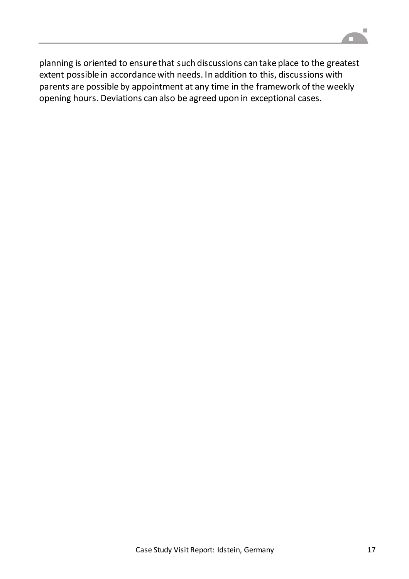

planning is oriented to ensure that such discussions can take place to the greatest extent possible in accordance with needs. In addition to this, discussions with parents are possible by appointment at any time in the framework of the weekly opening hours. Deviations can also be agreed upon in exceptional cases.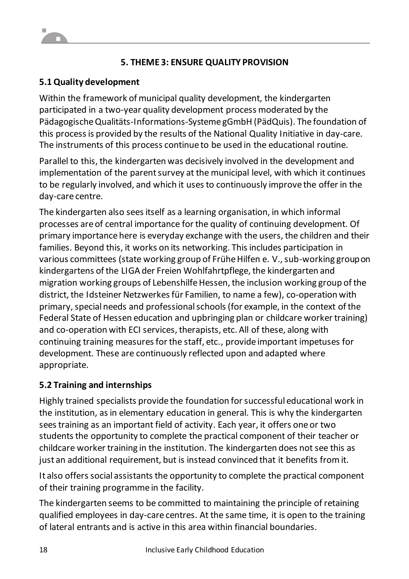### **5. THEME 3: ENSURE QUALITY PROVISION**

### **5.1 Quality development**

Within the framework of municipal quality development, the kindergarten participated in a two-year quality development process moderated by the PädagogischeQualitäts-Informations-Systeme gGmbH (PädQuis). The foundation of this process is provided by the results of the National Quality Initiative in day-care. The instruments of this process continue to be used in the educational routine.

Parallel to this, the kindergarten was decisively involved in the development and implementation of the parent survey at the municipal level, with which it continues to be regularly involved, and which it usesto continuously improve the offer in the day-care centre.

The kindergarten also sees itself as a learning organisation, in which informal processes are of central importance for the quality of continuing development. Of primary importance here is everyday exchange with the users, the children and their families. Beyond this, it works on its networking. This includes participation in various committees (state working group of Frühe Hilfen e. V., sub-working group on kindergartens of the LIGA der Freien Wohlfahrtpflege, the kindergarten and migration working groups of Lebenshilfe Hessen, the inclusion working group of the district, the Idsteiner Netzwerkes für Familien, to name a few), co-operation with primary, special needs and professional schools (for example, in the context of the Federal State of Hessen education and upbringing plan or childcare worker training) and co-operation with ECI services, therapists, etc. All of these, along with continuing training measures for the staff, etc., provide important impetuses for development. These are continuously reflected upon and adapted where appropriate.

### **5.2 Training and internships**

Highly trained specialists provide the foundation for successful educational work in the institution, as in elementary education in general. This is why the kindergarten sees training as an important field of activity. Each year, it offers one or two students the opportunity to complete the practical component of their teacher or childcare worker training in the institution. The kindergarten does not see this as just an additional requirement, but is instead convinced that it benefits from it.

It also offers social assistants the opportunity to complete the practical component of their training programme in the facility.

The kindergarten seems to be committed to maintaining the principle of retaining qualified employees in day-care centres. At the same time, it is open to the training of lateral entrants and is active in this area within financial boundaries.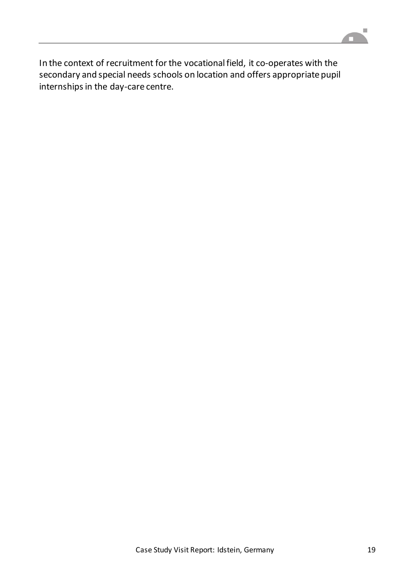

In the context of recruitment for the vocational field, it co-operates with the secondary and special needs schools on location and offers appropriate pupil internships in the day-care centre.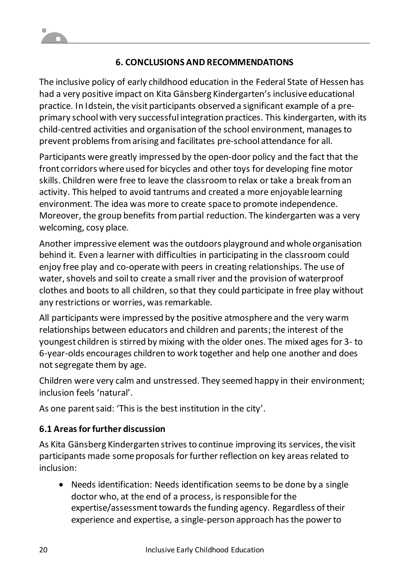### **6. CONCLUSIONS AND RECOMMENDATIONS**

The inclusive policy of early childhood education in the Federal State of Hessen has had a very positive impact on Kita Gänsberg Kindergarten's inclusive educational practice. In Idstein, the visit participants observed a significant example of a preprimary school with very successful integration practices. This kindergarten, with its child-centred activities and organisation of the school environment, managesto prevent problems from arising and facilitates pre-school attendance for all.

Participants were greatly impressed by the open-door policy and the fact that the front corridors where used for bicycles and other toys for developing fine motor skills. Children were free to leave the classroom to relax or take a break from an activity. This helped to avoid tantrums and created a more enjoyable learning environment. The idea was more to create space to promote independence. Moreover, the group benefits frompartial reduction. The kindergarten was a very welcoming, cosy place.

Another impressive element was the outdoors playground and whole organisation behind it. Even a learner with difficulties in participating in the classroom could enjoy free play and co-operate with peers in creating relationships. The use of water, shovels and soil to create a small river and the provision of waterproof clothes and boots to all children, so that they could participate in free play without any restrictions or worries, was remarkable.

All participants were impressed by the positive atmosphere and the very warm relationships between educators and children and parents; the interest of the youngest children is stirred by mixing with the older ones. The mixed ages for 3- to 6-year-olds encourages children to work together and help one another and does not segregate them by age.

Children were very calm and unstressed. They seemed happy in their environment; inclusion feels 'natural'.

As one parent said: 'This is the best institution in the city'.

### **6.1 Areas for further discussion**

As Kita Gänsberg Kindergarten strives to continue improving its services, the visit participants made some proposals for further reflection on key areas related to inclusion:

 Needs identification: Needs identification seems to be done by a single doctor who, at the end of a process, isresponsible for the expertise/assessment towards the funding agency. Regardless of their experience and expertise, a single-person approach has the power to